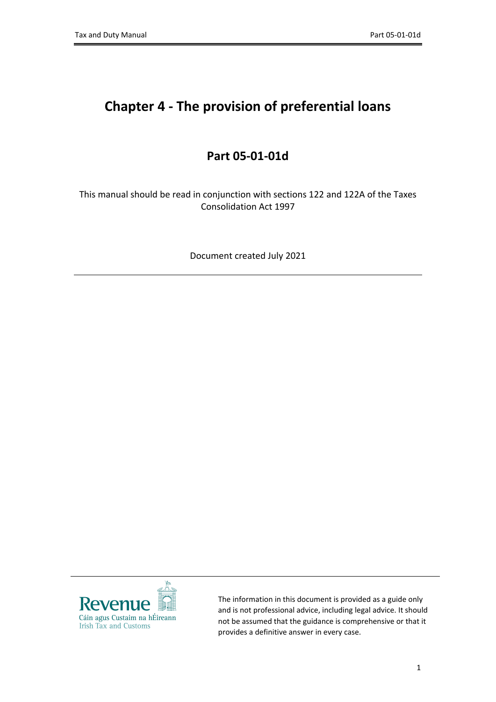# **Chapter 4 - The provision of preferential loans**

# **Part 05-01-01d**

This manual should be read in conjunction with sections 122 and 122A of the Taxes Consolidation Act 1997

Document created July 2021



The information in this document is provided as a guide only and is not professional advice, including legal advice. It should not be assumed that the guidance is comprehensive or that it provides a definitive answer in every case.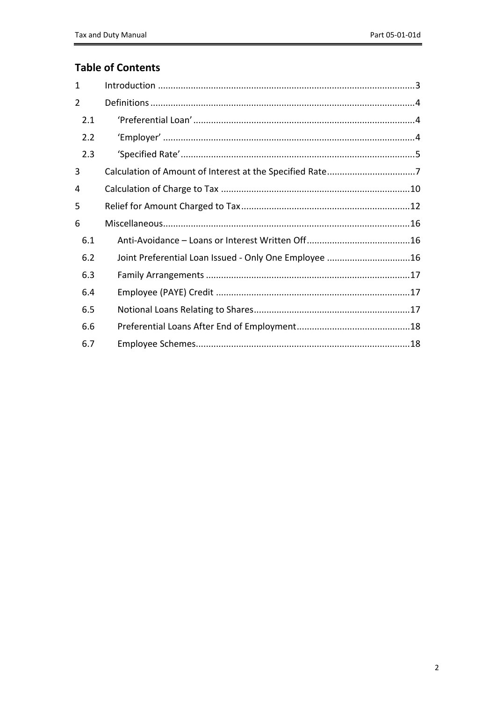## **Table of Contents**

| 1   |                                                          |  |
|-----|----------------------------------------------------------|--|
| 2   |                                                          |  |
| 2.1 |                                                          |  |
| 2.2 |                                                          |  |
| 2.3 |                                                          |  |
| 3   | Calculation of Amount of Interest at the Specified Rate7 |  |
| 4   |                                                          |  |
| 5   |                                                          |  |
| 6   |                                                          |  |
| 6.1 |                                                          |  |
| 6.2 | Joint Preferential Loan Issued - Only One Employee 16    |  |
| 6.3 |                                                          |  |
| 6.4 |                                                          |  |
| 6.5 |                                                          |  |
| 6.6 |                                                          |  |
| 6.7 |                                                          |  |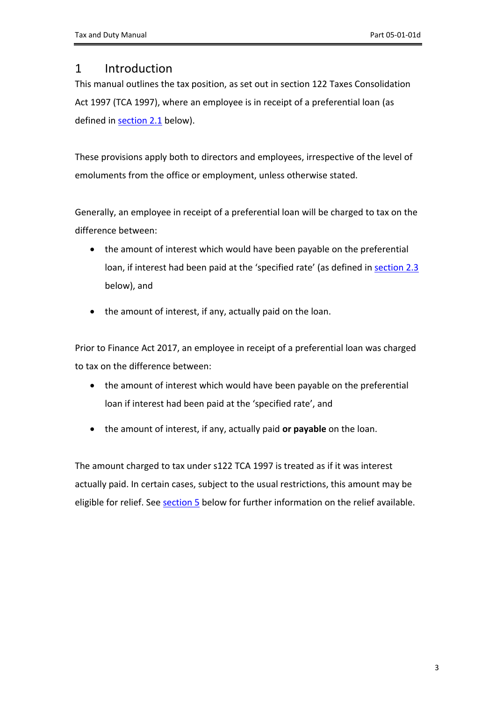## <span id="page-2-0"></span>1 Introduction

This manual outlines the tax position, as set out in section 122 Taxes Consolidation Act 1997 (TCA 1997), where an employee is in receipt of a preferential loan (as defined in [section](#page-3-1) [2.1](#page-3-1) below).

These provisions apply both to directors and employees, irrespective of the level of emoluments from the office or employment, unless otherwise stated.

Generally, an employee in receipt of a preferential loan will be charged to tax on the difference between:

- the amount of interest which would have been payable on the preferential loan, if interest had been paid at the 'specified rate' (as defined in [section](#page-4-0) [2.3](#page-4-0) below), and
- the amount of interest, if any, actually paid on the loan.

Prior to Finance Act 2017, an employee in receipt of a preferential loan was charged to tax on the difference between:

- the amount of interest which would have been payable on the preferential loan if interest had been paid at the 'specified rate', and
- the amount of interest, if any, actually paid **or payable** on the loan.

The amount charged to tax under s122 TCA 1997 is treated as if it was interest actually paid. In certain cases, subject to the usual restrictions, this amount may be eligible for relief. See [section](#page-11-0) [5](#page-11-0) below for further information on the relief available.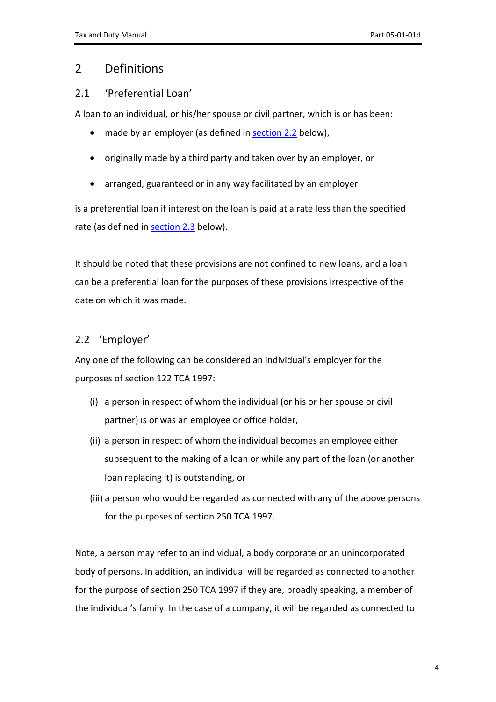# <span id="page-3-0"></span>2 Definitions

## <span id="page-3-1"></span>2.1 'Preferential Loan'

A loan to an individual, or his/her spouse or civil partner, which is or has been:

- made by an employer (as defined in [section](#page-3-2) [2.2](#page-3-2) below),
- originally made by a third party and taken over by an employer, or
- arranged, guaranteed or in any way facilitated by an employer

is a preferential loan if interest on the loan is paid at a rate less than the specified rate (as defined in [section](#page-4-0) [2.3](#page-4-0) below).

It should be noted that these provisions are not confined to new loans, and a loan can be a preferential loan for the purposes of these provisions irrespective of the date on which it was made.

# <span id="page-3-2"></span>2.2 'Employer'

Any one of the following can be considered an individual's employer for the purposes of section 122 TCA 1997:

- (i) a person in respect of whom the individual (or his or her spouse or civil partner) is or was an employee or office holder,
- (ii) a person in respect of whom the individual becomes an employee either subsequent to the making of a loan or while any part of the loan (or another loan replacing it) is outstanding, or
- (iii) a person who would be regarded as connected with any of the above persons for the purposes of section 250 TCA 1997.

Note, a person may refer to an individual, a body corporate or an unincorporated body of persons. In addition, an individual will be regarded as connected to another for the purpose of section 250 TCA 1997 if they are, broadly speaking, a member of the individual's family. In the case of a company, it will be regarded as connected to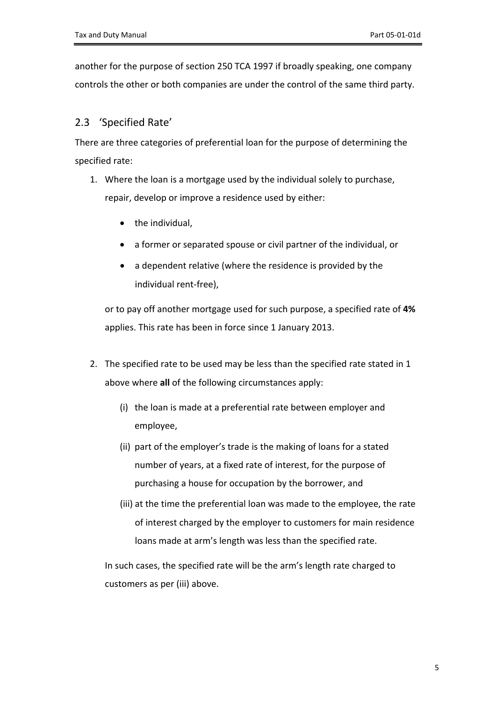another for the purpose of section 250 TCA 1997 if broadly speaking, one company controls the other or both companies are under the control of the same third party.

## <span id="page-4-0"></span>2.3 'Specified Rate'

There are three categories of preferential loan for the purpose of determining the specified rate:

- 1. Where the loan is a mortgage used by the individual solely to purchase, repair, develop or improve a residence used by either:
	- the individual,
	- a former or separated spouse or civil partner of the individual, or
	- a dependent relative (where the residence is provided by the individual rent-free),

or to pay off another mortgage used for such purpose, a specified rate of **4%** applies. This rate has been in force since 1 January 2013.

- 2. The specified rate to be used may be less than the specified rate stated in 1 above where **all** of the following circumstances apply:
	- (i) the loan is made at a preferential rate between employer and employee,
	- (ii) part of the employer's trade is the making of loans for a stated number of years, at a fixed rate of interest, for the purpose of purchasing a house for occupation by the borrower, and
	- (iii) at the time the preferential loan was made to the employee, the rate of interest charged by the employer to customers for main residence loans made at arm's length was less than the specified rate.

In such cases, the specified rate will be the arm's length rate charged to customers as per (iii) above.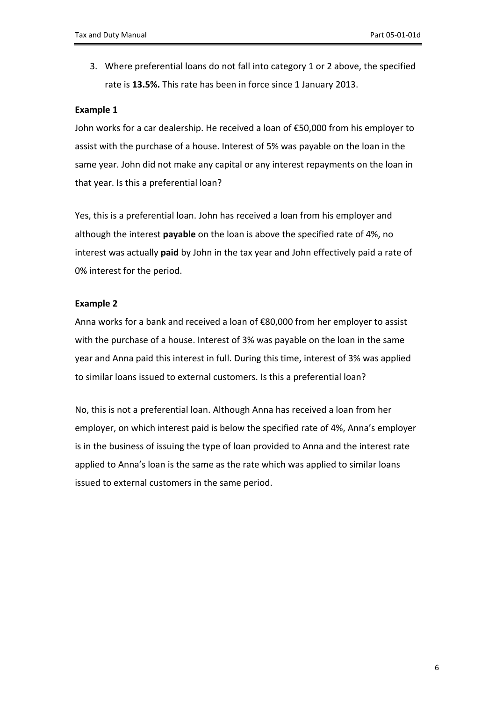3. Where preferential loans do not fall into category 1 or 2 above, the specified rate is **13.5%.** This rate has been in force since 1 January 2013.

#### **Example 1**

John works for a car dealership. He received a loan of €50,000 from his employer to assist with the purchase of a house. Interest of 5% was payable on the loan in the same year. John did not make any capital or any interest repayments on the loan in that year. Is this a preferential loan?

Yes, this is a preferential loan. John has received a loan from his employer and although the interest **payable** on the loan is above the specified rate of 4%, no interest was actually **paid** by John in the tax year and John effectively paid a rate of 0% interest for the period.

### **Example 2**

Anna works for a bank and received a loan of €80,000 from her employer to assist with the purchase of a house. Interest of 3% was payable on the loan in the same year and Anna paid this interest in full. During this time, interest of 3% was applied to similar loans issued to external customers. Is this a preferential loan?

No, this is not a preferential loan. Although Anna has received a loan from her employer, on which interest paid is below the specified rate of 4%, Anna's employer is in the business of issuing the type of loan provided to Anna and the interest rate applied to Anna's loan is the same as the rate which was applied to similar loans issued to external customers in the same period.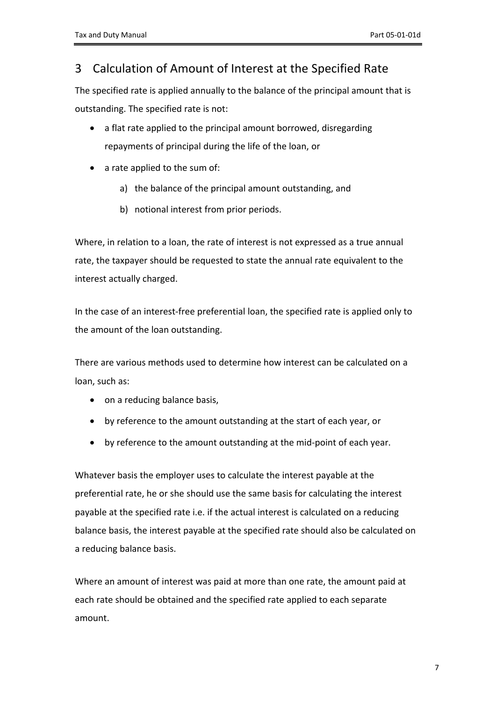# <span id="page-6-0"></span>3 Calculation of Amount of Interest at the Specified Rate

The specified rate is applied annually to the balance of the principal amount that is outstanding. The specified rate is not:

- a flat rate applied to the principal amount borrowed, disregarding repayments of principal during the life of the loan, or
- a rate applied to the sum of:
	- a) the balance of the principal amount outstanding, and
	- b) notional interest from prior periods.

Where, in relation to a loan, the rate of interest is not expressed as a true annual rate, the taxpayer should be requested to state the annual rate equivalent to the interest actually charged.

In the case of an interest-free preferential loan, the specified rate is applied only to the amount of the loan outstanding.

There are various methods used to determine how interest can be calculated on a loan, such as:

- on a reducing balance basis,
- by reference to the amount outstanding at the start of each year, or
- by reference to the amount outstanding at the mid-point of each year.

Whatever basis the employer uses to calculate the interest payable at the preferential rate, he or she should use the same basis for calculating the interest payable at the specified rate i.e. if the actual interest is calculated on a reducing balance basis, the interest payable at the specified rate should also be calculated on a reducing balance basis.

Where an amount of interest was paid at more than one rate, the amount paid at each rate should be obtained and the specified rate applied to each separate amount.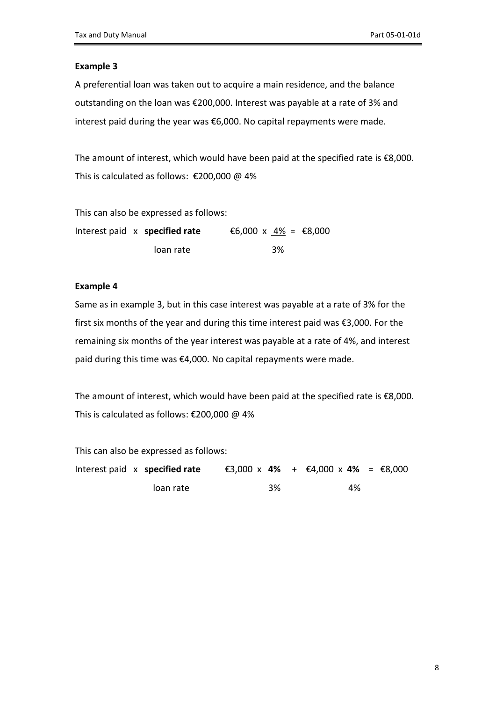A preferential loan was taken out to acquire a main residence, and the balance outstanding on the loan was €200,000. Interest was payable at a rate of 3% and interest paid during the year was €6,000. No capital repayments were made.

The amount of interest, which would have been paid at the specified rate is  $\epsilon$ 8,000. This is calculated as follows: €200,000 @ 4%

This can also be expressed as follows:

Interest paid x **specified rate**  $\epsilon$ 6,000 x  $4\%$  =  $\epsilon$ 8,000 loan rate 3%

#### **Example 4**

Same as in example 3, but in this case interest was payable at a rate of 3% for the first six months of the year and during this time interest paid was €3,000. For the remaining six months of the year interest was payable at a rate of 4%, and interest paid during this time was €4,000. No capital repayments were made.

The amount of interest, which would have been paid at the specified rate is  $\epsilon$ 8,000. This is calculated as follows: €200,000 @ 4%

This can also be expressed as follows:

|  | Interest paid x specified rate |  |    | €3,000 x 4% + €4,000 x 4% = €8,000 |  |
|--|--------------------------------|--|----|------------------------------------|--|
|  | loan rate                      |  | 3% | 4%                                 |  |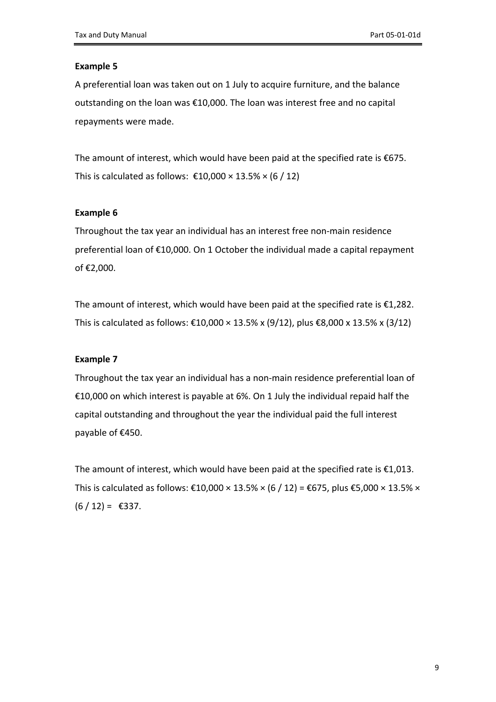A preferential loan was taken out on 1 July to acquire furniture, and the balance outstanding on the loan was €10,000. The loan was interest free and no capital repayments were made.

The amount of interest, which would have been paid at the specified rate is €675. This is calculated as follows:  $\text{\textsterling}10,000 \times 13.5\% \times (6 / 12)$ 

### **Example 6**

Throughout the tax year an individual has an interest free non-main residence preferential loan of €10,000. On 1 October the individual made a capital repayment of €2,000.

The amount of interest, which would have been paid at the specified rate is  $£1,282.$ This is calculated as follows: €10,000 × 13.5% x (9/12), plus €8,000 x 13.5% x (3/12)

#### **Example 7**

Throughout the tax year an individual has a non-main residence preferential loan of €10,000 on which interest is payable at 6%. On 1 July the individual repaid half the capital outstanding and throughout the year the individual paid the full interest payable of €450.

The amount of interest, which would have been paid at the specified rate is  $\epsilon$ 1,013. This is calculated as follows: €10,000 × 13.5% × (6 / 12) = €675, plus €5,000 × 13.5% ×  $(6/12) = \text{\textsterling}337.$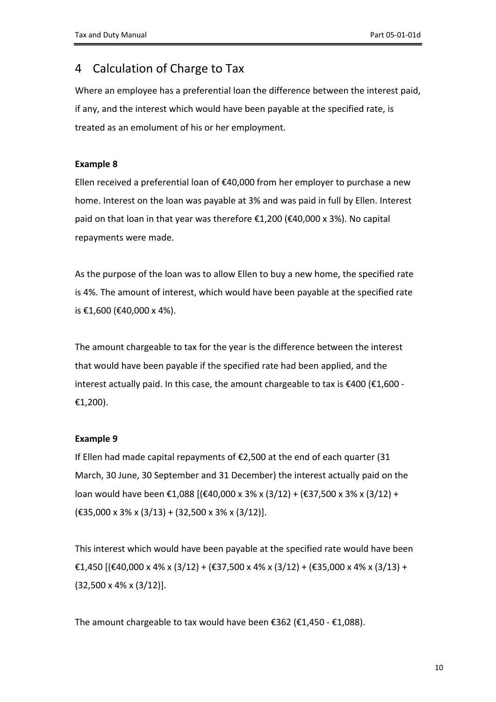# <span id="page-9-0"></span>4 Calculation of Charge to Tax

Where an employee has a preferential loan the difference between the interest paid, if any, and the interest which would have been payable at the specified rate, is treated as an emolument of his or her employment.

## **Example 8**

Ellen received a preferential loan of €40,000 from her employer to purchase a new home. Interest on the loan was payable at 3% and was paid in full by Ellen. Interest paid on that loan in that year was therefore €1,200 (€40,000 x 3%). No capital repayments were made.

As the purpose of the loan was to allow Ellen to buy a new home, the specified rate is 4%. The amount of interest, which would have been payable at the specified rate is €1,600 (€40,000 x 4%).

The amount chargeable to tax for the year is the difference between the interest that would have been payable if the specified rate had been applied, and the interest actually paid. In this case, the amount chargeable to tax is €400 (€1,600 - €1,200).

## **Example 9**

If Ellen had made capital repayments of €2,500 at the end of each quarter (31 March, 30 June, 30 September and 31 December) the interest actually paid on the loan would have been €1,088 [(€40,000 x 3% x (3/12) + (€37,500 x 3% x (3/12) + (€35,000 x 3% x (3/13) + (32,500 x 3% x (3/12)].

This interest which would have been payable at the specified rate would have been €1,450 [(€40,000 x 4% x (3/12) + (€37,500 x 4% x (3/12) + (€35,000 x 4% x (3/13) + (32,500 x 4% x (3/12)].

The amount chargeable to tax would have been  $\epsilon$ 362 ( $\epsilon$ 1,450 -  $\epsilon$ 1,088).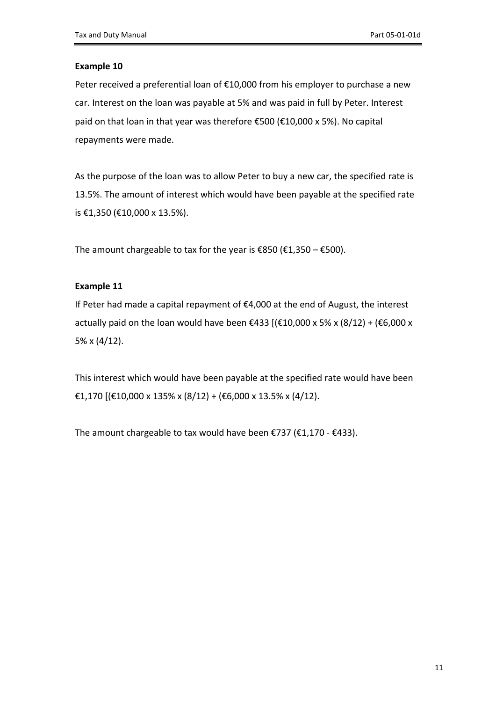Peter received a preferential loan of €10,000 from his employer to purchase a new car. Interest on the loan was payable at 5% and was paid in full by Peter. Interest paid on that loan in that year was therefore €500 (€10,000 x 5%). No capital repayments were made.

As the purpose of the loan was to allow Peter to buy a new car, the specified rate is 13.5%. The amount of interest which would have been payable at the specified rate is €1,350 (€10,000 x 13.5%).

The amount chargeable to tax for the year is  $\text{\textsterling}850 \text{\textbackslash} \text{\textsterling}1,350 - \text{\textsterling}500$ .

### **Example 11**

If Peter had made a capital repayment of €4,000 at the end of August, the interest actually paid on the loan would have been €433 [(€10,000 x 5% x (8/12) + (€6,000 x 5% x (4/12).

This interest which would have been payable at the specified rate would have been €1,170 [(€10,000 x 135% x (8/12) + (€6,000 x 13.5% x (4/12).

The amount chargeable to tax would have been €737 (€1,170 - €433).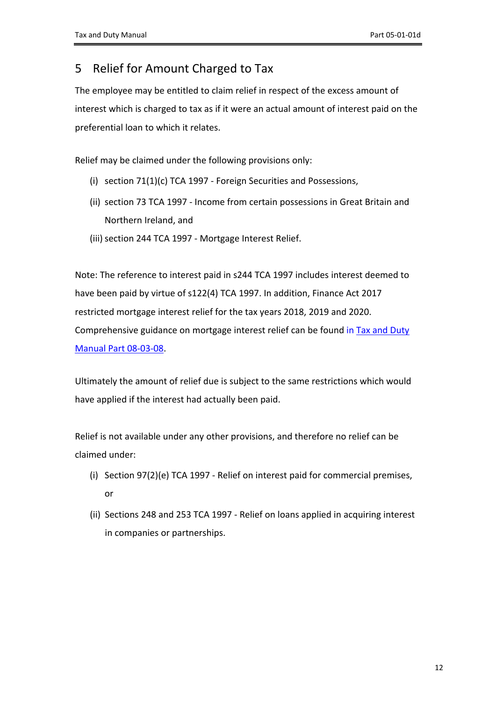# <span id="page-11-0"></span>5 Relief for Amount Charged to Tax

The employee may be entitled to claim relief in respect of the excess amount of interest which is charged to tax as if it were an actual amount of interest paid on the preferential loan to which it relates.

Relief may be claimed under the following provisions only:

- (i) section 71(1)(c) TCA 1997 Foreign Securities and Possessions,
- (ii) section 73 TCA 1997 Income from certain possessions in Great Britain and Northern Ireland, and
- (iii) section 244 TCA 1997 Mortgage Interest Relief.

Note: The reference to interest paid in s244 TCA 1997 includes interest deemed to have been paid by virtue of s122(4) TCA 1997. In addition, Finance Act 2017 restricted mortgage interest relief for the tax years 2018, 2019 and 2020. Comprehensive guidance on mortgage interest relief can be found in [Tax](https://www.revenue.ie/en/tax-professionals/tdm/income-tax-capital-gains-tax-corporation-tax/part-08/08-03-08.pdf) [and](https://www.revenue.ie/en/tax-professionals/tdm/income-tax-capital-gains-tax-corporation-tax/part-08/08-03-08.pdf) [Duty](https://www.revenue.ie/en/tax-professionals/tdm/income-tax-capital-gains-tax-corporation-tax/part-08/08-03-08.pdf) [Manual](https://www.revenue.ie/en/tax-professionals/tdm/income-tax-capital-gains-tax-corporation-tax/part-08/08-03-08.pdf) [Part](https://www.revenue.ie/en/tax-professionals/tdm/income-tax-capital-gains-tax-corporation-tax/part-08/08-03-08.pdf) [08-03-08.](https://www.revenue.ie/en/tax-professionals/tdm/income-tax-capital-gains-tax-corporation-tax/part-08/08-03-08.pdf)

Ultimately the amount of relief due is subject to the same restrictions which would have applied if the interest had actually been paid.

Relief is not available under any other provisions, and therefore no relief can be claimed under:

- (i) Section 97(2)(e) TCA 1997 Relief on interest paid for commercial premises, or
- (ii) Sections 248 and 253 TCA 1997 Relief on loans applied in acquiring interest in companies or partnerships.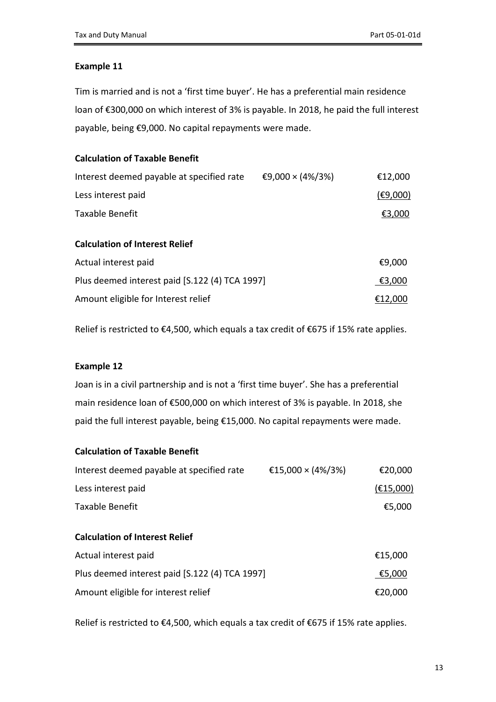Tim is married and is not a 'first time buyer'. He has a preferential main residence loan of €300,000 on which interest of 3% is payable. In 2018, he paid the full interest payable, being €9,000. No capital repayments were made.

## **Calculation of Taxable Benefit**

| Interest deemed payable at specified rate      | €9,000 × (4%/3%) | €12,000  |
|------------------------------------------------|------------------|----------|
| Less interest paid                             |                  | (E9,000) |
| Taxable Benefit                                |                  | €3,000   |
| <b>Calculation of Interest Relief</b>          |                  |          |
| Actual interest paid                           |                  | €9,000   |
| Plus deemed interest paid [S.122 (4) TCA 1997] |                  | €3,000   |
| Amount eligible for Interest relief            |                  | €12,000  |

Relief is restricted to €4,500, which equals a tax credit of €675 if 15% rate applies.

## **Example 12**

Joan is in a civil partnership and is not a 'first time buyer'. She has a preferential main residence loan of €500,000 on which interest of 3% is payable. In 2018, she paid the full interest payable, being €15,000. No capital repayments were made.

## **Calculation of Taxable Benefit**

| Interest deemed payable at specified rate | €15,000 × (4%/3%) | €20,000   |
|-------------------------------------------|-------------------|-----------|
| Less interest paid                        |                   | (E15,000) |
| Taxable Benefit                           |                   | €5,000    |

## **Calculation of Interest Relief**

| Actual interest paid                           | €15,000 |
|------------------------------------------------|---------|
| Plus deemed interest paid [S.122 (4) TCA 1997] | €5,000  |
| Amount eligible for interest relief            | €20,000 |

Relief is restricted to €4,500, which equals a tax credit of €675 if 15% rate applies.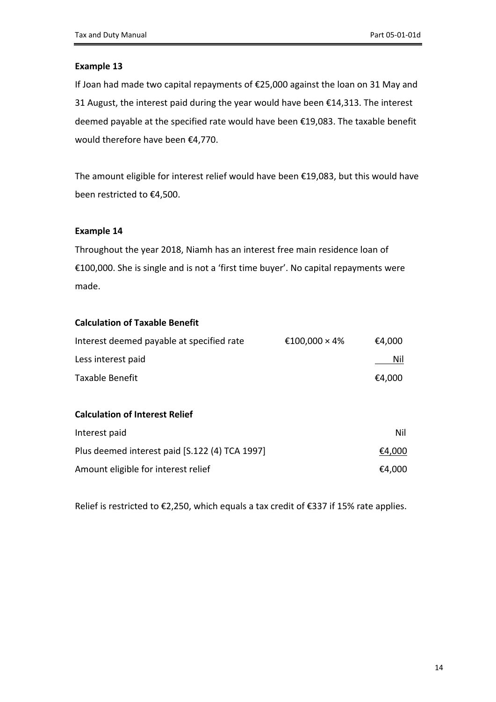If Joan had made two capital repayments of €25,000 against the loan on 31 May and 31 August, the interest paid during the year would have been €14,313. The interest deemed payable at the specified rate would have been €19,083. The taxable benefit would therefore have been €4,770.

The amount eligible for interest relief would have been €19,083, but this would have been restricted to €4,500.

### **Example 14**

Throughout the year 2018, Niamh has an interest free main residence loan of €100,000. She is single and is not a 'first time buyer'. No capital repayments were made.

### **Calculation of Taxable Benefit**

| Interest deemed payable at specified rate | €100,000 × 4% | €4,000 |
|-------------------------------------------|---------------|--------|
| Less interest paid                        |               | Nil    |
| Taxable Benefit                           |               | €4,000 |

## **Calculation of Interest Relief**

| Interest paid                                  | Nil    |
|------------------------------------------------|--------|
| Plus deemed interest paid [S.122 (4) TCA 1997] | €4,000 |
| Amount eligible for interest relief            | €4,000 |

Relief is restricted to €2,250, which equals a tax credit of €337 if 15% rate applies.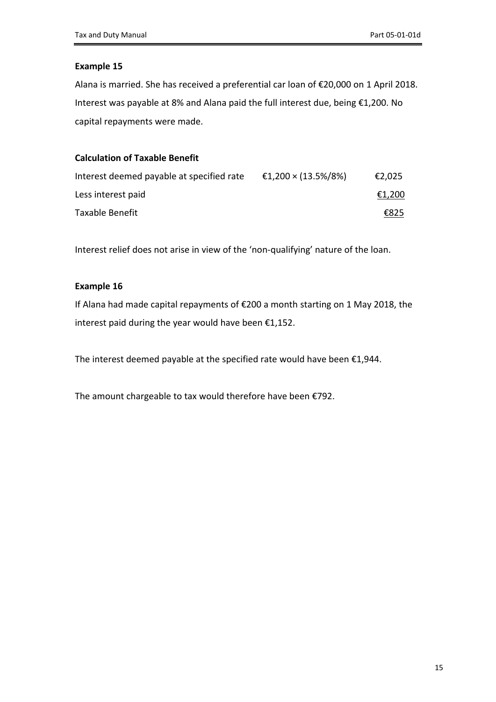Alana is married. She has received a preferential car loan of €20,000 on 1 April 2018. Interest was payable at 8% and Alana paid the full interest due, being €1,200. No capital repayments were made.

## **Calculation of Taxable Benefit**

| Interest deemed payable at specified rate | €1,200 × (13.5%/8%) | €2,025 |
|-------------------------------------------|---------------------|--------|
| Less interest paid                        |                     | €1,200 |
| Taxable Benefit                           |                     | €825   |

Interest relief does not arise in view of the 'non-qualifying' nature of the loan.

#### **Example 16**

If Alana had made capital repayments of €200 a month starting on 1 May 2018, the interest paid during the year would have been €1,152.

The interest deemed payable at the specified rate would have been €1,944.

The amount chargeable to tax would therefore have been €792.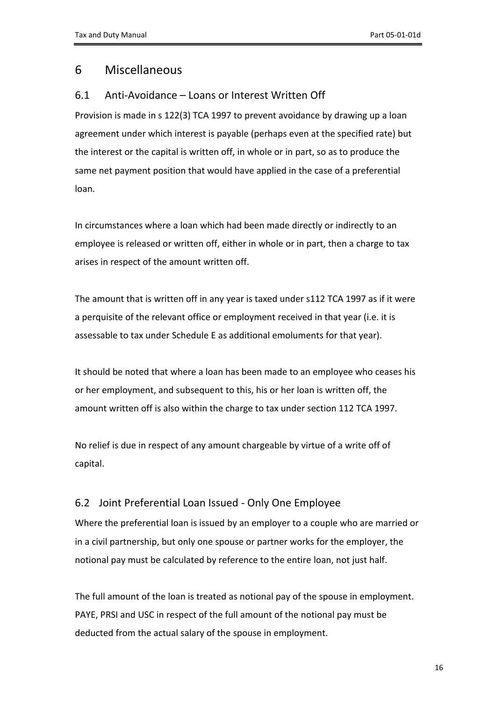# <span id="page-15-0"></span>6 Miscellaneous

## <span id="page-15-1"></span>6.1 Anti-Avoidance – Loans or Interest Written Off

Provision is made in s 122(3) TCA 1997 to prevent avoidance by drawing up a loan agreement under which interest is payable (perhaps even at the specified rate) but the interest or the capital is written off, in whole or in part, so as to produce the same net payment position that would have applied in the case of a preferential loan.

In circumstances where a loan which had been made directly or indirectly to an employee is released or written off, either in whole or in part, then a charge to tax arises in respect of the amount written off.

The amount that is written off in any year is taxed under s112 TCA 1997 as if it were a perquisite of the relevant office or employment received in that year (i.e. it is assessable to tax under Schedule E as additional emoluments for that year).

It should be noted that where a loan has been made to an employee who ceases his or her employment, and subsequent to this, his or her loan is written off, the amount written off is also within the charge to tax under section 112 TCA 1997.

No relief is due in respect of any amount chargeable by virtue of a write off of capital.

## <span id="page-15-2"></span>6.2 Joint Preferential Loan Issued - Only One Employee

Where the preferential loan is issued by an employer to a couple who are married or in a civil partnership, but only one spouse or partner works for the employer, the notional pay must be calculated by reference to the entire loan, not just half.

The full amount of the loan is treated as notional pay of the spouse in employment. PAYE, PRSI and USC in respect of the full amount of the notional pay must be deducted from the actual salary of the spouse in employment.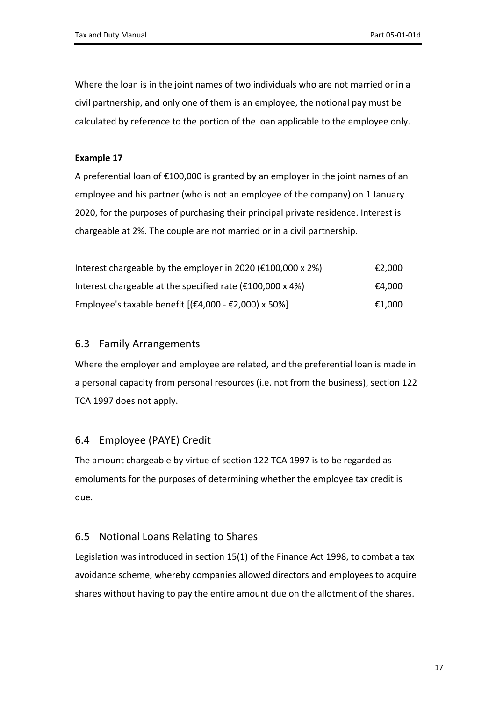Where the loan is in the joint names of two individuals who are not married or in a civil partnership, and only one of them is an employee, the notional pay must be calculated by reference to the portion of the loan applicable to the employee only.

## **Example 17**

A preferential loan of €100,000 is granted by an employer in the joint names of an employee and his partner (who is not an employee of the company) on 1 January 2020, for the purposes of purchasing their principal private residence. Interest is chargeable at 2%. The couple are not married or in a civil partnership.

| Interest chargeable by the employer in 2020 ( $\epsilon$ 100,000 x 2%)                             | €2,000 |
|----------------------------------------------------------------------------------------------------|--------|
| Interest chargeable at the specified rate ( $\epsilon$ 100,000 x 4%)                               | €4,000 |
| Employee's taxable benefit $[(\text{\textsterling}4,000 - \text{\textsterling}2,000) \times 50\%]$ | €1,000 |

## <span id="page-16-0"></span>6.3 Family Arrangements

Where the employer and employee are related, and the preferential loan is made in a personal capacity from personal resources (i.e. not from the business), section 122 TCA 1997 does not apply.

## <span id="page-16-1"></span>6.4 Employee (PAYE) Credit

The amount chargeable by virtue of section 122 TCA 1997 is to be regarded as emoluments for the purposes of determining whether the employee tax credit is due.

## <span id="page-16-2"></span>6.5 Notional Loans Relating to Shares

Legislation was introduced in section 15(1) of the Finance Act 1998, to combat a tax avoidance scheme, whereby companies allowed directors and employees to acquire shares without having to pay the entire amount due on the allotment of the shares.